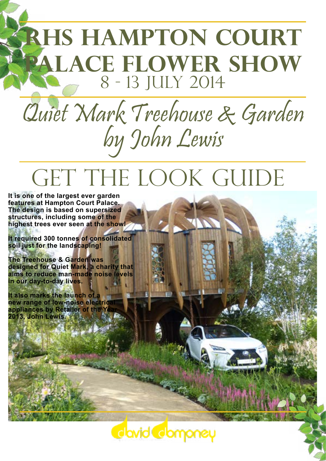# **RHS Hampton Court Palace Flower Show** 8 - 13 July 2014

# Quiet Mark Treehouse & Garden by John Lewis

# GET THE LOOK GUIDE

**It is one of the largest ever garden features at Hampton Court Palace. The design is based on supersized structures, including some of the highest trees ever seen at the show!** 

**It required 300 tonnes of consolidated soil just for the landscaping!** 

**The Treehouse & Garden was designed for Quiet Mark, a charity that aims to reduce man-made noise levels in our day-to-day lives.** 

**It also marks the launch of a new range of low-noise electric appliances by Retailer of the Y 2013, John Lewis.** 

Clavid Clomoney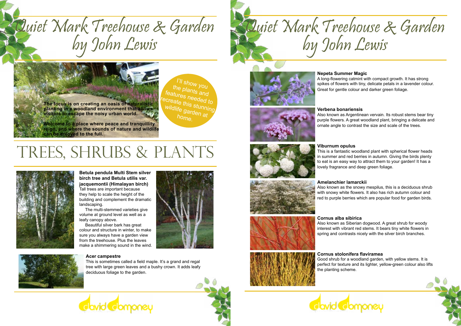# Quiet Mark Treehouse & Garden & Quiet Mark Treehouse & Garden<br>by John Lewis

**The focus is on creating an oasis of naturalistic planting in a woodland environment that allows visitors to escape the noisy urban world.** 

**Welcome to a place where peace and tranquillity reign, and where the sounds of nature and wildlife can be enjoyed to the full.**

# TREES, SHRUBS & PLANTS







## **Amelanchier lamarckii**

Also known as the snowy mespilus, this is a deciduous shrub with snowy white flowers. It also has rich autumn colour and red to purple berries which are popular food for garden birds.

**Betula pendula Multi Stem silver birch tree and Betula utilis var. jacquemontii (Himalayan birch)** Tall trees are important because they help to scale the height of the building and complement the dramatic landscaping.

 The multi-stemmed varieties give volume at ground level as well as a leafy canopy above.

 Beautiful silver bark has great colour and structure in winter, to make sure you always have a garden view from the treehouse. Plus the leaves make a shimmering sound in the wind.





# **Cornus alba sibirica**

Also known as Siberian dogwood. A great shrub for woody interest with vibrant red stems. It bears tiny white flowers in spring and contrasts nicely with the silver birch branches.

## **Cornus stolonifera flaviramea**

Good shrub for a woodland garden, with yellow stems. It is perfect for texture and its lighter, yellow-green colour also lifts the planting scheme.





## **Viburnum opulus**

This is a fantastic woodland plant with spherical flower heads in summer and red berries in autumn. Giving the birds plenty to eat is an easy way to attract them to your garden! It has a lovely fragrance and deep green foliage.

**Verbena bonariensis** Also known as Argentinean vervain. Its robust stems bear tiny purple flowers. A great woodland plant, bringing a delicate and ornate angle to contrast the size and scale of the trees.







**Cavid Comoney** 



# **Nepeta Summer Magic**

A long-flowering catmint with compact growth. It has strong spikes of flowers with tiny, delicate petals in a lavender colour. Great for gentle colour and darker green foliage.



# **Acer campestre**

This is sometimes called a field maple. It's a grand and regal tree with large green leaves and a bushy crown. It adds leafy deciduous foliage to the garden.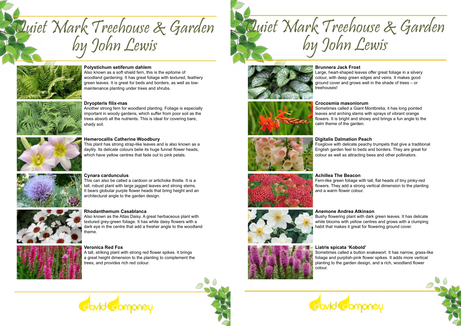



# **Polystichum setiferum dahlem**

Also known as a soft shield fern, this is the epitome of woodland gardening. It has great foliage with textured, feathery green leaves. It is great for beds and borders, as well as lowmaintenance planting under trees and shrubs.



### **Hemerocallis Catherine Woodbury**

This plant has strong strap-like leaves and is also known as a daylily. Its delicate colours belie its huge funnel flower heads, which have yellow centres that fade out to pink petals.



### **Cynara cardunculus**

This can also be called a cardoon or artichoke thistle. It is a tall, robust plant with large jagged leaves and strong stems. It bears globular purple flower heads that bring height and an architectural angle to the garden design.



### **Rhodanthemum Casablanca**

Also known as the Atlas Daisy. A great herbaceous plant with textured grey-green foliage. It has white daisy flowers with a dark eye in the centre that add a fresher angle to the woodland theme.



### **Dryopteris filix-mas**

Another strong fern for woodland planting. Foliage is especially important in woody gardens, which suffer from poor soil as the trees absorb all the nutrients. This is ideal for covering bare, shady soil.



### **Veronica Red Fox**

A tall, striking plant with strong red flower spikes. It brings a great height dimension to the planting to complement the trees, and provides rich red colour.



Quiet Mark Treehouse & Garden



**Brunnera Jack Frost**  Large, heart-shaped leaves offer great foliage in a silvery colour, with deep green edges and veins. It makes good ground cover and grows well in the shade of trees – or treehouses!



**Digitalis Dalmation Peach**  Foxglove with delicate peachy trumpets that give a traditional English garden feel to beds and borders. They are great for colour as well as attracting bees and other pollinators.

Fern-like green foliage with tall, flat heads of tiny pinky-red flowers. They add a strong vertical dimension to the planting

**Achillea The Beacon** and a warm flower colour.

### **Anemone Andrea Atkinson**

Bushy flowering plant with dark green leaves. It has delicate white blooms with yellow centres and grows with a clumping habit that makes it great for flowering ground cover.



**Crocosmia masoniorum**  Sometimes called a Giant Montbretia, it has long pointed leaves and arching stems with sprays of vibrant orange flowers. It is bright and showy and brings a fun angle to the calm theme of the garden.



**Liatris spicata 'Kobold'** Sometimes called a button snakewort. It has narrow, grass-like foliage and purplish-pink flower spikes. It adds more vertical planting to the garden design, and a rich, woodland flower



colour.